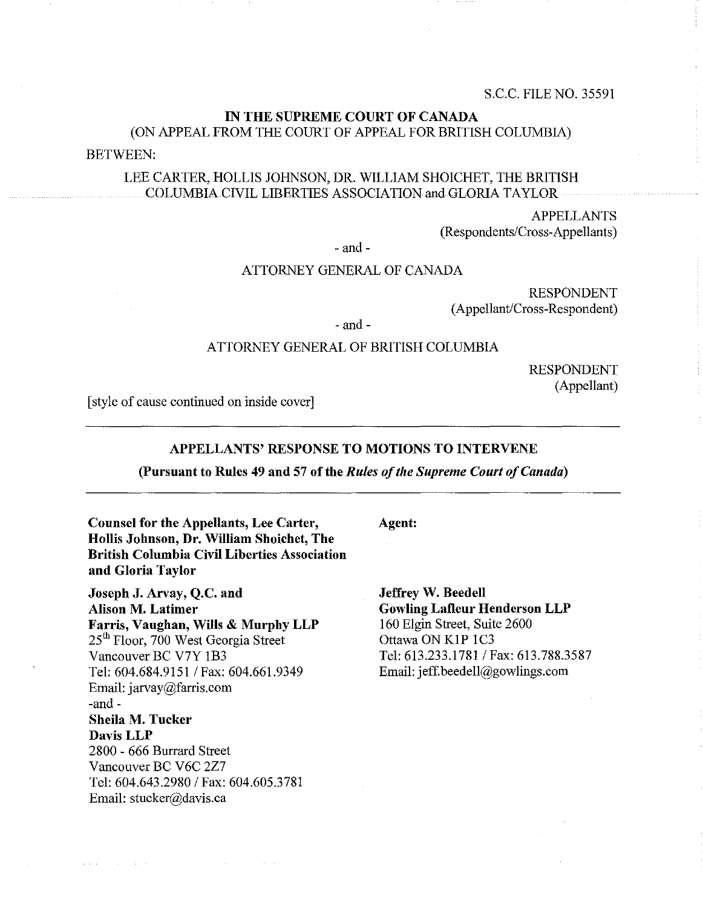# IN THE SUPREME COURT OF CANADA (ON APPEAL FROM THE COURT OF APPEAL FOR BRITISH COLUMBIA)

BETWEEN:

### LEE CARTER, HOLLIS JOHNSON, DR. WILLIAM SHOICHET, THE BRITISH COLUMBIA CIVIL LIBERTIES ASSOCIATION and GLORIA TAYLOR

APPELLANTS (Respondents/Cross-Appellants)

- and-

### ATTORNEY GENERAL OF CANADA

RESPONDENT (Appellant/Cross-Respondent)

 $-$  and  $-$ 

### ATTORNEY GENERAL OF BRITISH COLUMBIA

RESPONDENT (Appellant)

[style of cause continued on inside cover]

#### APPELLANTS' RESPONSE TO MOTIONS TO INTERVENE

#### (Pursuant to Rules 49 and 57 of the *Rules of the Supreme Court of Canada)*

Counsel for the Appellants, Lee Carter, Hollis Johnson, Dr. William Shoichet, The British Columbia Civil Liberties Association and Gloria Taylor

Joseph J. Arvay, Q.C. and Alison M. Latimer Farris, Vaughan, Wills & Murphy LLP 25<sup>th</sup> Floor, 700 West Georgia Street Vancouver BC V7Y IB3 Tel: 604.684.9151 / Fax: 604.661.9349 Email: jarvay@farris.com  $-$ and  $-$ Sheila M. Tucker DavisLLP 2800 - 666 Burrard Street Vancouver BC V6C 2Z7 Tel: 604.643.2980 / Fax: 604.605.3781 Email: stucker@davis.ca

 $\mathcal{L}(\mathcal{A})$  , and  $\mathcal{L}(\mathcal{A})$  , and  $\mathcal{L}(\mathcal{A})$ 

Agent:

Jeffrey W. Beedell Gowling Lafleur Henderson LLP 160 Elgin Street, Suite 2600 Ottawa ON KIP lC3 Tel: 613.233.1781 / Fax: 613.788.3587 Email: jeff.beedell@gowlings.com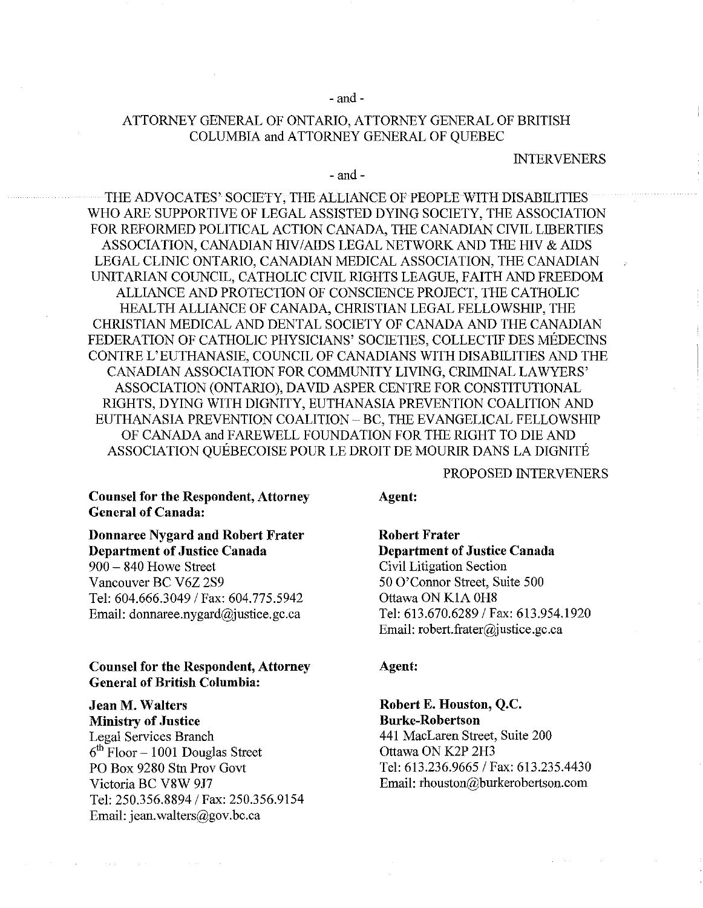#### - and-

## ATTORNEY GENERAL OF ONTARIO, ATTORNEY GENERAL OF BRITISH COLUMBIA and ATTORNEY GENERAL OF QUEBEC

#### INTERVENERS

#### - and-

THE ADVOCATES' SOCIETY, THE ALLIANCE OF PEOPLE WITH DISABILITIES WHO ARE SUPPORTIVE OF LEGAL ASSISTED DYING SOCIETY, THE ASSOCIATION FOR REFORMED POLITICAL ACTION CANADA, THE CANADIAN CIVIL LIBERTIES ASSOCIATION, CANADIAN HIV/AIDS LEGAL NETWORK AND THE HIV & AIDS LEGAL CLINIC ONTARIO, CANADIAN MEDICAL ASSOCIATION, THE CANADIAN UNITARIAN COUNCIL, CATHOLIC CIVIL RIGHTS LEAGUE, FAITH AND FREEDOM ALLIANCE AND PROTECTION OF CONSCIENCE PROJECT, THE CATHOLIC HEALTH ALLIANCE OF CANADA, CHRISTIAN LEGAL FELLOWSHIP, THE CHRISTIAN MEDICAL AND DENTAL SOCIETY OF CANADA AND THE CANADIAN FEDERATION OF CATHOLIC PHYSICIANS' SOCIETIES, COLLECTIF DES MEDECINS CONTRE L'EUTHANASIE, COUNCIL OF CANADIANS WITH DISABILITIES AND THE CANADIAN ASSOCIATION FOR COMMUNITY LIVING, CRIMINAL LAWYERS' ASSOCIATION (ONTARIO), DAVID ASPER CENTRE FOR CONSTITUTIONAL RIGHTS, DYING WITH DIGNITY, EUTHANASIA PREVENTION COALITION AND EUTHANASIA PREVENTION COALITION - BC, THE EVANGELICAL FELLOWSHIP OF CANADA and FAREWELL FOUNDATION FOR THE RIGHT TO DIE AND ASSOCIATION QUEBECOISE POUR LE DROIT DE MOURIR DANS LA DIGNITE

### PROPOSED INTERVENERS

### Couusel for the Respondent, Attorney General of Canada:

# Donnaree Nygard and Robert Frater Department of Justice Canada

900 - 840 Howe Street Vancouver BC V6Z 2S9 Tel: 604.666.3049 / Fax: 604.775.5942 Email: donnaree.nygard@justice.gc.ca

### Counsel for the Respondent, Attorney General of British Columbia:

# Jean M. Walters

Ministry of Justice Legal Services Branch  $6<sup>th</sup>$  Floor -1001 Douglas Street PO Box 9280 Stn Prov Govt Victoria BC V8W 917 Tel: 250.356.8894 / Fax: 250.356.9154 Email: jean.walters@gov.bc.ca

#### Agent:

Robert Frater Department of Justice Canada Civil Litigation Section 50 O'Connor Street, Suite 500 Ottawa ON KIA OH8 Tel: 613.670.6289 / Fax: 613.954.1920 Email: robert.frater@justice.gc.ca

#### Agent:

Robert E. Houston, Q.C. Burke-Robertson 441 MacLaren Street, Suite 200 Ottawa ON K2P 2H3 Tel: 613.236.9665 / Fax: 613.235.4430 Email: rhouston@burkerobertson.com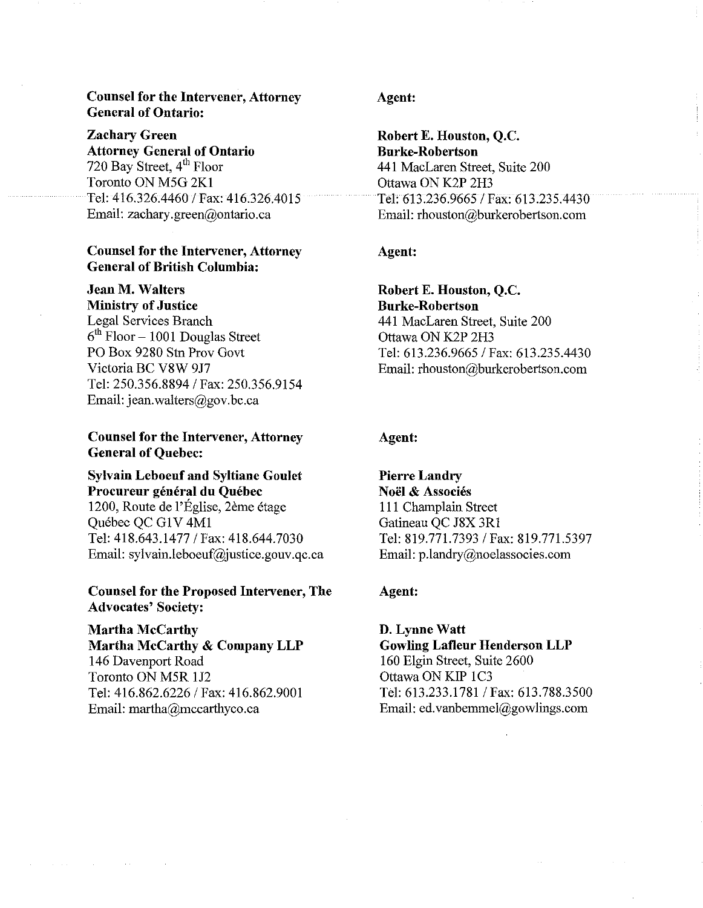### Counsel for the Intervener, Attorney General of Ontario:

Zachary Green Attorney General of Ontario 720 Bay Street, 4<sup>th</sup> Floor Toronto ON M5G 2Kl Tel: 416.326.4460 1 Fax: 416.326.4015 Email: zachary.green@ontario.ca

### Counsel for the Intervener, Attorney General of British Columbia:

# Jean M. Walters

Ministry of Justice Legal Services Branch  $6<sup>th</sup>$  Floor - 1001 Douglas Street PO Box 9280 Stn Prov Govt Victoria BC V8W 9J7 Tel: *250.356.88941* Fax: 250.356.9154 Email: jean.walters@gov.bc.ca

Counsel for the Intervener, Attorney General of Quebec:

## Sylvain Leboeuf and Syltiane Goulet Procureur général du Québec

1200, Route de l'Eglise, 2eme etage Quebec QC GlV 4Ml Tel: 418.643.1477 *1* Fax: 418.644.7030 Email: sylvain.leboeuf@justice.gouv.qc.ca

### Counsel for the Proposed Intervener, The Advocates' Society:

Martha McCarthy Martha McCarthy & Company LLP 146 Davenport Road Toronto ON M5R IJ2 Tel: *416.862.62261* Fax: 416.862.9001 Email: martha@mccarthyco.ca

 $\mathcal{L}^{\text{max}}_{\text{max}}$ 

### Agent:

Robert E. Houston, Q.c. Burke-Robertson 441 MacLaren Street, Suite 200 Ottawa ON K2P 2H3 Tel: *613.236.96651* Fax: 613.235.4430 Email: rhouston@burkerobertson.com

### Agent:

Robert E. Houston, Q.C. Burke-Robertson 441 MacLaren Street, Suite 200 Ottawa ON K2P 2H3 Tel: *613.236.96651* Fax: 613.235.4430 Email: rhouston@burkerobertson.com

### Agent:

Pierre Landry Noël & Associés 111 Champlain Street Gatineau QC J8X 3Rl Tel: *819.771.73931* Fax: 819.771.5397 Email: p.landry@noeiassocies.com

#### Agent:

D. Lynne Watt Gowling Lafleur Henderson LLP 160 Elgin Street, Suite 2600 Ottawa ON KIP 1C3 Tel: 613.233.1781 / Fax: 613.788.3500 Email: ed.vanbemmel@gowlings.com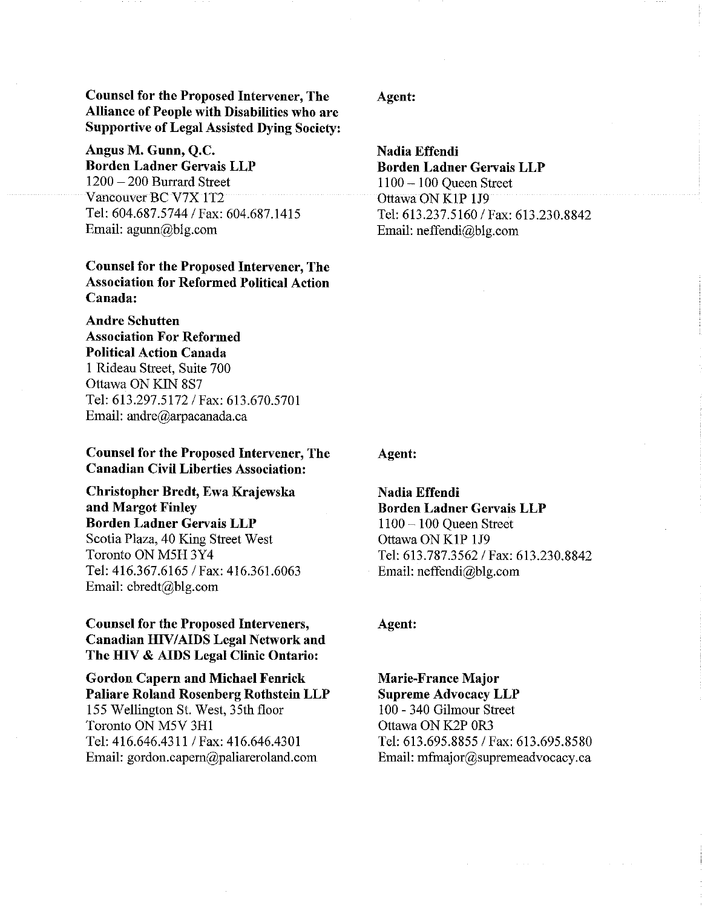Counsel for the Proposed Intervener, The Alliance of People with Disabilities who are Supportive of Legal Assisted Dying Society:

Angus M. Gunn, Q.C. Borden Ladner Gervais LLP  $1200 - 200$  Burrard Street Vancouver BC V7X 1T2 Tel: 604.687.5744/ Fax: 604.687.1415 Email:  $aqunn@ble.com$ 

## Counsel for the Proposed Intervener, The Association for Reformed Political Action Canada:

Andre Schutten Association For Reformed Political Action Canada 1 Rideau Street, Suite 700 Ottawa ON KIN 8S7 Tel: 613.297.5172 / Fax: 613.670.5701 Email: andre@arpacanada.ca

### Counsel for the Proposed Intervener, The Canadian Civil Liberties Association:

Christopher Bredt, Ewa Krajewska and Margot Finley Borden Ladner Gervais LLP Scotia Plaza, 40 King Street West Toronto ON M5R 3Y4 Tel: 416.367.6165/ Fax: 416.361.6063 Email: cbredt@blg.com

## Counsel for the Proposed Interveners, Canadian HIV/AIDS Legal Network and The HIV & AIDS Legal Clinic Ontario:

# Gordon Capern and Michael Fenrick Paliare Roland Rosenberg Rothstein LLP

155 Wellington St. West, 35th floor Toronto ON M5V 3Rl Tel: 416.646.4311 / Fax: 416.646.4301 Email: gordon.capem@paliareroland.com

### Agent:

Nadia Effendi Borden Ladner Gervais LLP 11 00 - 1 00 Queen Street Ottawa ON K1P 1J9 Tel: 613.237.5160/ Fax: 613.230.8842 Email: neffendi@blg.com

### Agent:

Nadia Effendi Borden Ladner Gervais LLP 1100 - 100 Queen Street Ottawa ON KIP lJ9 Tel: 613.787.3562/ Fax: 613.230.8842 Email: neffendi@blg.com

#### Agent:

Marie-France Major Supreme Advocacy LLP 100 - 340 Gilmour Street Ottawa ON K2P OR3 Tel: 613.695.8855 / Fax: 613.695.8580 Email: mfmajor@supremeadvocacy.ca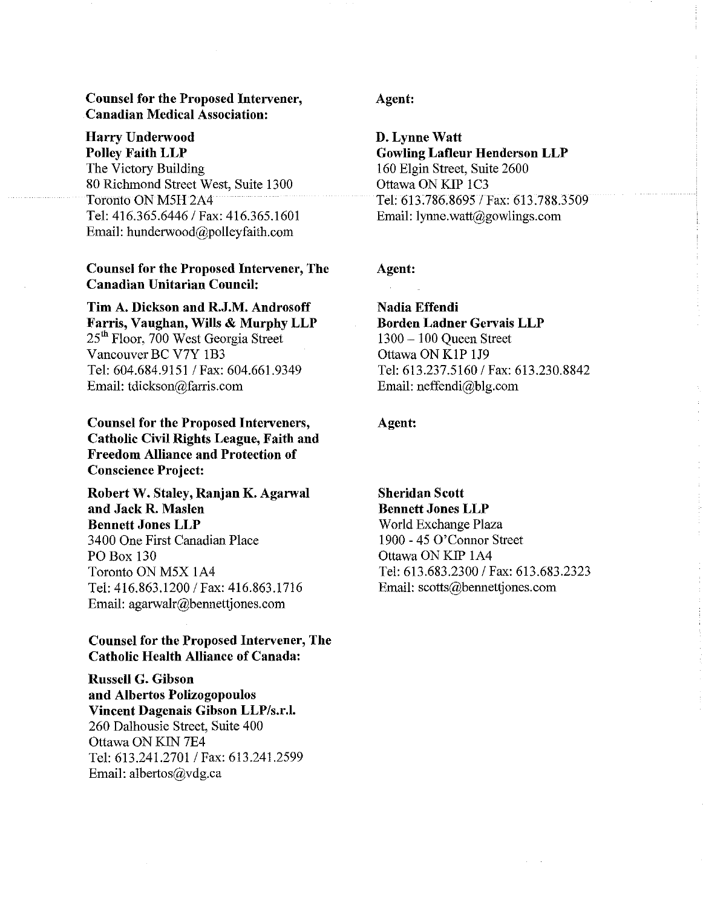### **Counsel for the Proposed Intervener, Canadian Medical Association:**

# **Harry Underwood**

**Polley Faith LLP**  The Victory Building 80 Richmond Street West, Suite 1300 Toronto ON M5H 2A4 Tel: 416.365.6446 / Fax: 416.365.1601 Email: hunderwood@polleyfaith.com

## **Counsel for the Proposed Intervener, The Canadian Unitarian Council:**

**Tim A. Dickson and R.J.M. Androsoff Farris, Vaughan, Wills & Murphy LLP**  25<sup>th</sup> Floor, 700 West Georgia Street Vancouver BC V7Y 1B3 Tel: 604.684.9151 / Fax: 604.661.9349 Email: tdickson@farris.com

**Counsel for the Proposed Interveners, Catholic Civil Rights League, Faith and Freedom Alliance and Protection of Conscience Project:** 

**Robert W. Staley, Ranjan K. Agarwal and Jack R. Maslen Bennett Jones LLP**  3400 One First Canadian Place PO Box 130 Toronto ON M5X lA4 Tel: 416.863.1200 / Fax: 416.863.1716 Email: agarwalr@bennettjones.com

# **Counsel for the Proposed Intervener, The Catholic Health Alliance of Canada:**

**Russell G. Gibson and Albertos Polizogopoulos Vincent Dagenais Gibson LLP/s.r.l.**  260 Dalhousie Street, Suite 400 Ottawa ON KIN 7E4 Tel: 613.241.2701 / Fax: 613.241.2599 Email: albertos@vdg.ca

### **Agent:**

**D. Lynne Watt Gowling Lafleur Henderson LLP**  160 Elgin Street, Suite 2600 Ottawa ON KIP 1C3 Tel: 613.786.86951 Fax: 613.788.3509 Email: Iynne.watt@gowlings.com

# **Agent:**

**Nadia Effendi Borden Ladner Gervais LLP**  1300 - 100 Queen Street Ottawa ON KIP 1J9 Tel: 613.237.5160 / Fax: 613.230.8842 Email: neffendi@blg.com

## **Agent:**

**Sheridan Scott Bennett Jones LLP** 

World Exchange Plaza 1900 - 45 O'Connor Street Ottawa ON KIP lA4 Tel: 613.683.2300 / Fax: 613.683.2323 Email: scotts@bennettjones.com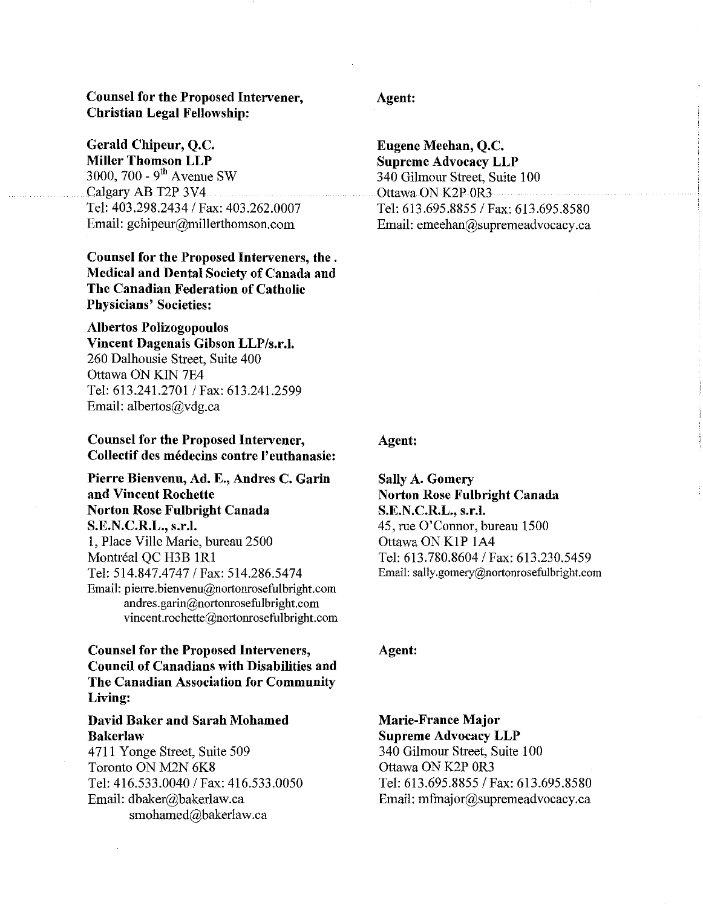### Counsel for the Proposed Intervener, Christian Legal Fellowship:

Gerald Chipeur, Q.C. Miller Thomson LLP 3000, 700 -  $9<sup>th</sup>$  Avenue SW Calgary AB T2P 3V4 Tel: 403.298.2434/ Fax: 403.262.0007 Email: gchipeur@millerthomson.com

Counsel for the Proposed Interveners, the. Medical and Dental Society of Canada and The Canadian Federation of Catholic Physicians' Societies:

Albertos Polizogopoulos Vincent Dagenais Gibson LLP/s.r.l. 260 Dalhousie Street, Suite 400 Ottawa ON KIN 7E4 Tel: 613.241.2701 / Fax: 613.241.2599 Email: albertos@vdg.ca

Counsel for the Proposed Intervener, Collectif des medecins contre l' euthanasie:

Pierre Bienvenu, Ad. E., Andres C. Garin and Vincent Rochette Norton Rose Fulbright Canada S.E.N.C.R.L., s.r.l. 1, Place Ville Marie, bureau 2500 Montréal QC H3B 1R1 Tel: 514.847.4747/ Fax: 514.286.5474 Email: pierre.bienvenu@nortonrosefulbright.com andres.garin@nortonrosefulbright.com vincent.rochette@nortonrosefulbright.com

Counsel for the Proposed Interveners, Council of Canadians with Disabilities and The Canadian Association for Community Living:

### David Baker and Sarah Mohamed Bakerlaw

4711 Y onge Street, Suite 509 Toronto ON M2N 6K8 Tel: 416.533.0040/ Fax: 416.533.0050 Email: dbaker@bakerlaw.ca smohamed@bakerlaw.ca

# Agent:

Eugene Meehan, Q.C. Supreme Advocacy LLP 340 Gilmour Street, Suite 100 Ottawa ON K2P OR3 Tel: 613.695.8855 / Fax: 613.695.8580 Email: emeehan@supremeadvocacy.ca

#### Agent:

Sally A. Gomery Norton Rose Fulbright Canada S.E.N.C.R.L., s.r.I. 45, rue O'Connor, bureau 1500 Ottawa ON KIP lA4 Tel: 613.780.8604/ Fax: 613.230.5459 Email: sally.gomery@nortonrosefulbright.com

Agent:

Marie-France Major Supreme Advocacy LLP 340 Gilmour Street, Suite 100 Ottawa ON K2P 0R3 Tel: 613.695.8855/ Fax: 613.695.8580 Email: mfmajor@supremeadvocacy.ca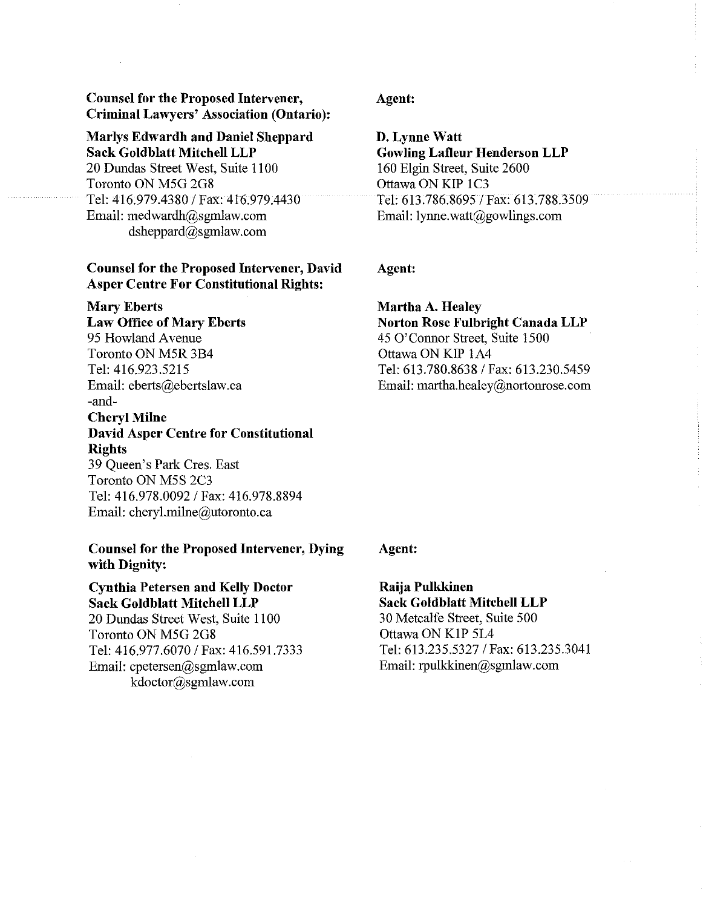Counsel for the Proposed Intervener, Criminal Lawyers' Association (Ontario):

# Marlys Edwardh and Daniel Sheppard

Sack Goldblatt Mitchell LLP 20 Dundas Street West, Suite 1100 Toronto ON M5G 2G8 Tel: 416.979.4380/ Fax: 416.979.4430 Email: medwardh@sgmlaw.com dsheppard@sgmlaw.com

### Counsel for the Proposed Intervener, David Asper Centre For Constitutional Rights:

Mary Eberts

Law Office of Mary Eberts 95 Howland Avenue Toronto ON M5R 3B4 Tel: 416.923.5215 Email: eberts@ebertslaw.ca -and-

# Cheryl Milne David Asper Centre for Constitutional Rights 39 Queen's Park Cres. East Toronto ON M5S 2C3 Tel: 416.978.0092/ Fax: 416.978.8894 Email: cheryLmilne@utoronto.ca

### Counsel for the Proposed Intervener, Dying with Dignity:

Cynthia Petersen and Kelly Doctor Sack Goldblatt Mitchell LLP 20 Dundas Street West, Suite 1100 Toronto ON M5G 2G8 Tel: 416.977.6070/ Fax: 416.591.7333 Email: cpetersen@sgmlaw.com kdoctor@sgmlaw.com

### Agent:

D. Lynne Watt Gowling Lafleur Henderson LLP 160 Elgin Street, Suite 2600 Ottawa ON KIP 1C3 Tel: 613.786.8695/ Fax: 613.788.3509 Email: lynne.watt@gowlings.com

# Agent:

# Martha A. Healey Norton Rose Fulbright Canada LLP 45 O'Connor Street, Suite 1500 Ottawa ON KIP lA4 Tel: 613.780.8638 / Fax: 613.230.5459 Email: martha.healey@nortonrose.com

### Agent:

Raija Pulkkinen Sack Goldblatt Mitchell LLP 30 Metcalfe Street, Suite 500 Ottawa ON KIP 5L4 Tel: 613.235.5327/ Fax: 613.235.3041 Email: rpulkkinen@sgmlaw.com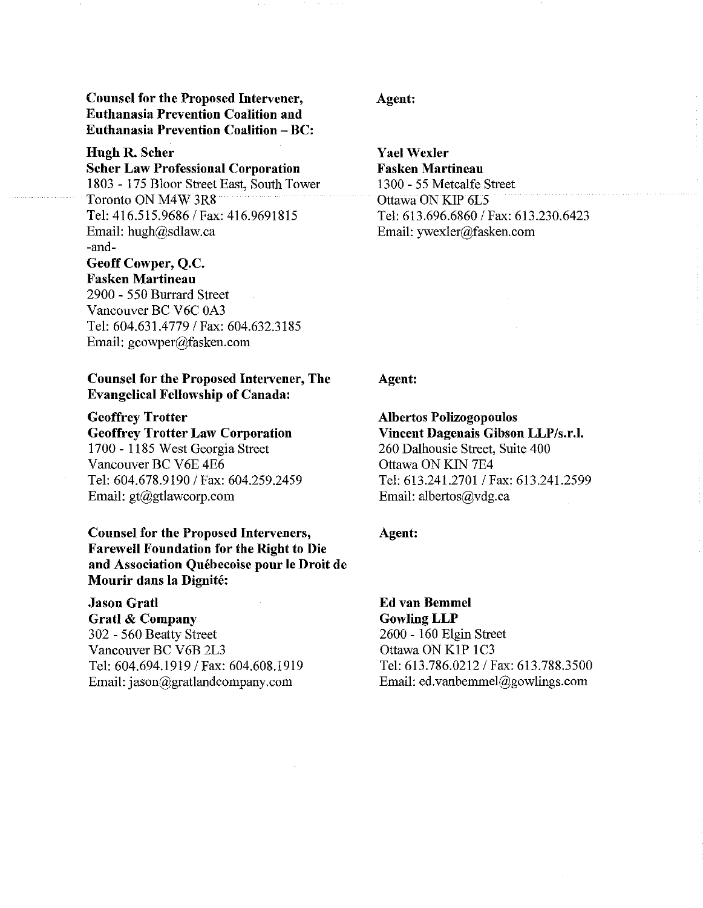Counsel for the Proposed Intervener, Euthanasia Prevention Coalition and Euthanasia Prevention Coalition - BC:

# Hugh R. Scher

Scher Law Professional Corporation 1803 - 175 Bloor Street East, South Tower Toronto ON M4W 3R8 Tel: 416.515.9686/ Fax: 416.9691815 Email: hugh@sdlaw.ca -and-Geoff Cowper, Q.C.

# Fasken Martineau

2900 - 550 Burrard Street Vancouver BC V6C 0A3 Tel: 604.631.4779/ Fax: 604.632.3185 Email: gcowper@fasken.com

### Counsel for the Proposed Intervener, The Evangelical Fellowship of Canada:

Geoffrey Trotter Geoffrey Trotter Law Corporation 1700 - 1185 West Georgia Street Vancouver BC V6E 4E6 Tel: 604.678.9190/ Fax: 604.259.2459 Email: gt@gtlawcorp.com

## Counsel for the Proposed Interveners, Farewell Foundation for the Right to Die and Association Quebecoise pour Ie Droit de Mourir dans la Dignite:

Jason Gratl Gratl & Company 302 - 560 Beatty Street Vancouver BC V6B 2L3 Tel: 604.694.1919/ Fax: 604.608.1919 Email: jason@gratlandcompany.com

### Agent:

Yael Wexler Fasken Martineau 1300 - 55 Metcalfe Street Ottawa ON KIP 6L5 Tel: 613.696.6860/ Fax: 613.230.6423 Email: ywexler@fasken.com

## Agent:

Albertos Polizogopoulos Vincent Dagenais Gibson LLP/s.r.l. 260 Dalhousie Street, Suite 400 Ottawa ON KIN 7E4 Tel: 613.241.2701 / Fax: 613.241.2599 Email: albertos@vdg.ca

#### Agent:

Ed van Bemmel GowlingLLP 2600 - 160 Elgin Street Ottawa ON KIP lC3 Tel: 613.786.0212/ Fax: 613.788.3500 Email: ed.vanbemmel@gowlings.com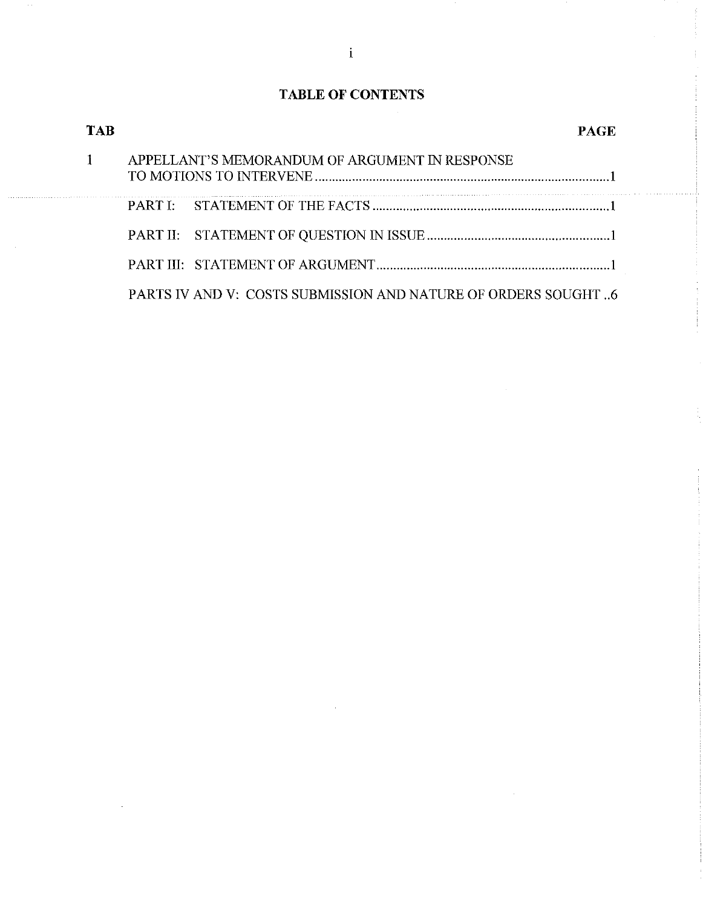# **TABLE OF CONTENTS**

| TAB |                                                               | PAGE |
|-----|---------------------------------------------------------------|------|
|     | APPELLANT'S MEMORANDUM OF ARGUMENT IN RESPONSE                |      |
|     |                                                               |      |
|     |                                                               |      |
|     |                                                               |      |
|     | PARTS IV AND V: COSTS SUBMISSION AND NATURE OF ORDERS SOUGHT6 |      |

 $\mathbf i$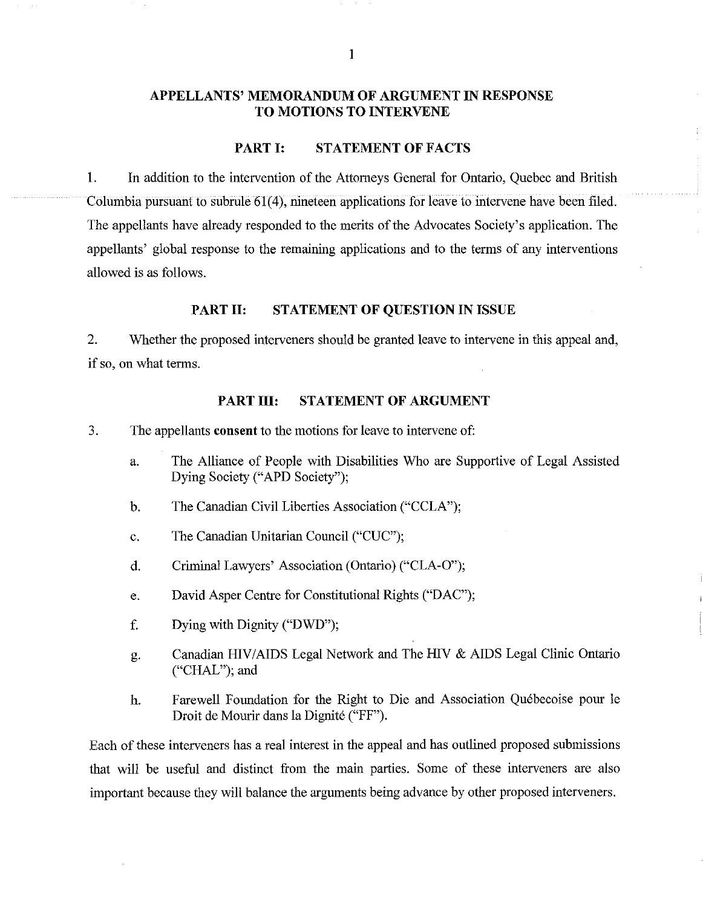# **APPELLANTS' MEMORANDUM OF ARGUMENT IN RESPONSE TO MOTIONS TO INTERVENE**

### PART I: **STATEMENT OF FACTS**

1. In addition to the intervention of the Attorneys General for Ontario, Quebec and British Columbia pursuant to subrule 61(4), nineteen applications for leave to intervene have been filed. The appellants have already responded to the merits of the Advocates Society's application. The appellants' global response to the remaining applications and to the terms of any interventions allowed is as follows.

### **PART II: STATEMENT OF QUESTION IN ISSUE**

2. Whether the proposed interveners should be granted leave to intervene in this appeal and, if so, on what terms.

### **PART III: STATEMENT OF ARGUMENT**

- 3. The appellants **consent** to the motions for leave to intervene of:
	- a. The Alliance of People with Disabilities Who are Supportive of Legal Assisted Dying Society ("APD Society");
	- b. The Canadian Civil Liberties Association ("CCLA");
	- c. The Canadian Unitarian Council ("CUC");
	- d. Criminal Lawyers' Association (Ontario) ("CLA-O");
	- e. David Asper Centre for Constitutional Rights ("DAC");
	- f. Dying with Dignity ("DWD");
	- g. Canadian HIV/AIDS Legal Network and The HIV & AIDS Legal Clinic Ontario ("CHAL"); and
	- h. Farewell Foundation for the Right to Die and Association Quebecoise pour Ie Droit de Mourir dans la Dignite ("FF").

Each of these interveners has a real interest in the appeal and has outlined proposed submissions that will be useful and clistinct from the main parties. Some of these interveners are also important because they will balance the arguments being advance by other proposed interveners.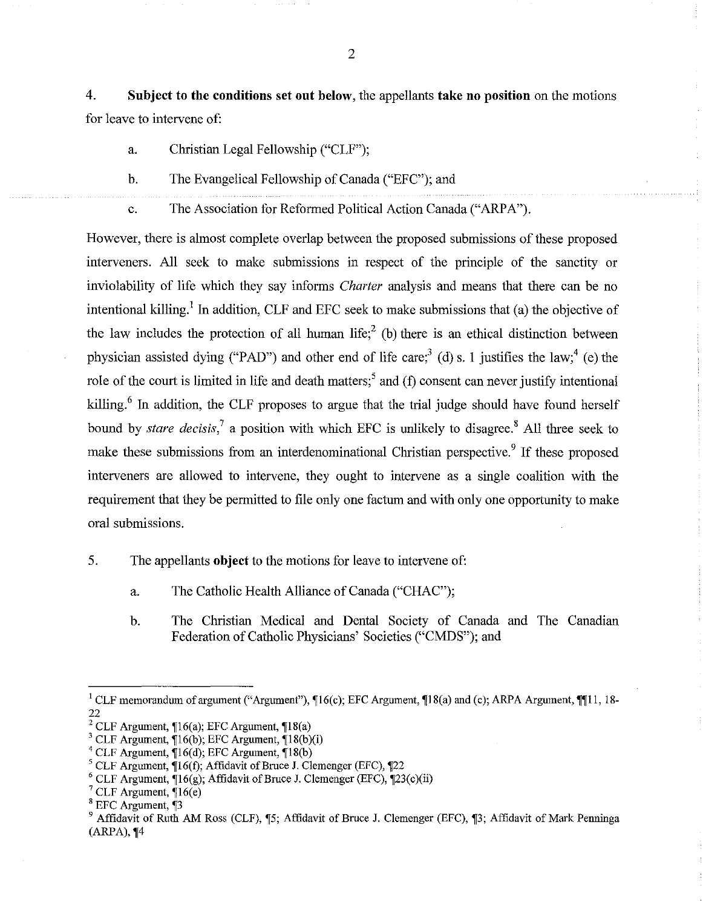4. **Subject to the conditions set out below,** the appellants **take no position on** the motions for leave to intervene of:

- a. Christian Legal Fellowship ("CLF");
- b. The Evangelical Fellowship of Canada ("EFC"); and
- c. The Association for Reformed Political Action Canada ("ARPA").

However, there is almost complete overlap between the proposed submissions of these proposed interveners. All seek to make submissions in respect of the principle of the sanctity or inviolability of life which they say informs *Charter* analysis and means that there can be no intentional killing.<sup>1</sup> In addition, CLF and EFC seek to make submissions that (a) the objective of the law includes the protection of all human life;<sup>2</sup> (b) there is an ethical distinction between physician assisted dying ("PAD") and other end of life care;<sup>3</sup> (d) s. 1 justifies the law;<sup>4</sup> (e) the role of the court is limited in life and death matters;<sup>5</sup> and (f) consent can never justify intentional killing.<sup>6</sup> In addition, the CLF proposes to argue that the trial judge should have found herself bound by *stare decisis*,<sup>7</sup> a position with which EFC is unlikely to disagree.<sup>8</sup> All three seek to make these submissions from an interdenominational Christian perspective.<sup>9</sup> If these proposed interveners are allowed to intervene, they ought to intervene as a single coalition with the requirement that they be permitted to file only one factum and with only one opportunity to make oral submissions.

- 5. The appellants **object** to the motions for leave to intervene of:
	- a. The Catholic Health Alliance of Canada ("CHAC');
	- b. The Christian Medical and Dental Society of Canada and The Canadian Federation of Catholic Physicians' Societies ("CMDS"); and

<sup>&</sup>lt;sup>1</sup> CLF memorandum of argument ("Argument"),  $\P$ 16(c); EFC Argument,  $\P$ 18(a) and (c); ARPA Argument,  $\P$ [11, 18-22

<sup>&</sup>lt;sup>2</sup> CLF Argument,  $\P 16(a)$ ; EFC Argument,  $\P 18(a)$ 

 $3$  CLF Argument,  $\P 16(b)$ ; EFC Argument,  $\P 18(b)(i)$ 

 $4$  CLF Argument,  $\P 16(d)$ ; EFC Argument,  $\P 18(b)$ 

<sup>&</sup>lt;sup>5</sup> CLF Argument,  $\P{16(f)}$ ; Affidavit of Bruce J. Clemenger (EFC),  $\P{22}$ 

<sup>&</sup>lt;sup>6</sup> CLF Argument,  $\Pi$ 6(g); Affidavit of Bruce J. Clemenger (EFC),  $\Pi$ 23(c)(ii)

 $^7$  CLF Argument,  $\P$ 16(e)

 $^8$  EFC Argument,  $\square$ 3

<sup>&</sup>lt;sup>9</sup> Affidavit of Ruth AM Ross (CLF),  $\mathbb{I}$ 5; Affidavit of Bruce J. Clemenger (EFC),  $\mathbb{I}$ 3; Affidavit of Mark Penninga  $(ARPA)$ ,  $\P 4$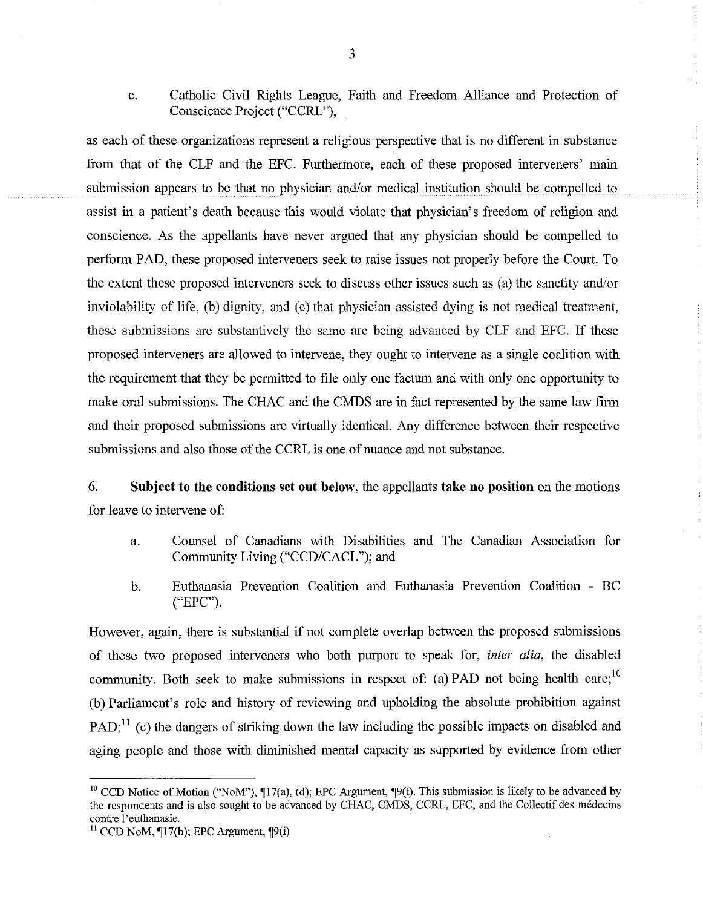c. Catholic Civil Rights League, Faith and Freedom Alliance and Protection of Conscience Project ("CCRL"),

as each of these organizations represent a religious perspective that is no different in substance from that of the CLF and the EFC. Furthermore, each of these proposed interveners' main submission appears to be that no physician and/or medical institution should be compelled to assist in a patient's death because this would violate that physician's freedom of religion and conscience. As the appellants have never argued that any physician should be compelled to perform PAD, these proposed interveners seek to raise issues not properly before the Court. To the extent these proposed interveners seek to discuss other issues such as (a) the sanctity and/or inviolability of life, (b) dignity, and (c) that physician assisted dying is not medical treatment, these submissions are substantively the same are being advanced by CLF and EFC. If these proposed interveners are allowed to intervene, they ought to intervene as a single coalition with the requirement that they be permitted to file only one factum and with only one opportunity to make oral submissions. The CHAC and the CMDS are in fact represented by the same law firm and their proposed submissions are virtually identical. Any difference between their respective submissions and also those of the CCRL is one of nuance and not substance.

6. **Subject to the conditions** set **out below,** the appellants **take no position** on the motions for leave to intervene of:

- a. Counsel of Canadians with Disabilities and The Canadian Association for Community Living ("CCD/CACL"); and
- b. Euthanasia Prevention Coalition and Euthanasia Prevention Coalition BC ("EPC").

However, again, there is substantial if not complete overlap between the proposed submissions of these two proposed interveners who both purport to speak for, *inter alia,* the disabled community. Both seek to make submissions in respect of: (a) PAD not being health care;<sup>10</sup> (b) Parliament's role and history of reviewing and upholding the absolute prohibition against PAD;<sup>11</sup> (c) the dangers of striking down the law including the possible impacts on disabled and aging people and those with diminished mental capacity as supported by evidence from other

<sup>&</sup>lt;sup>10</sup> CCD Notice of Motion ("NoM"),  $\Pi$ 17(a), (d); EPC Argument,  $\P9(t)$ . This submission is likely to be advanced by the respondents and is also sought to be advanced by CHAC, CMDS, CCRL, EFC, and the Collectif des medecins contre I'euthanasie.

 $11$  CCD NoM,  $\P$ 17(b); EPC Argument,  $\P$ 9(i)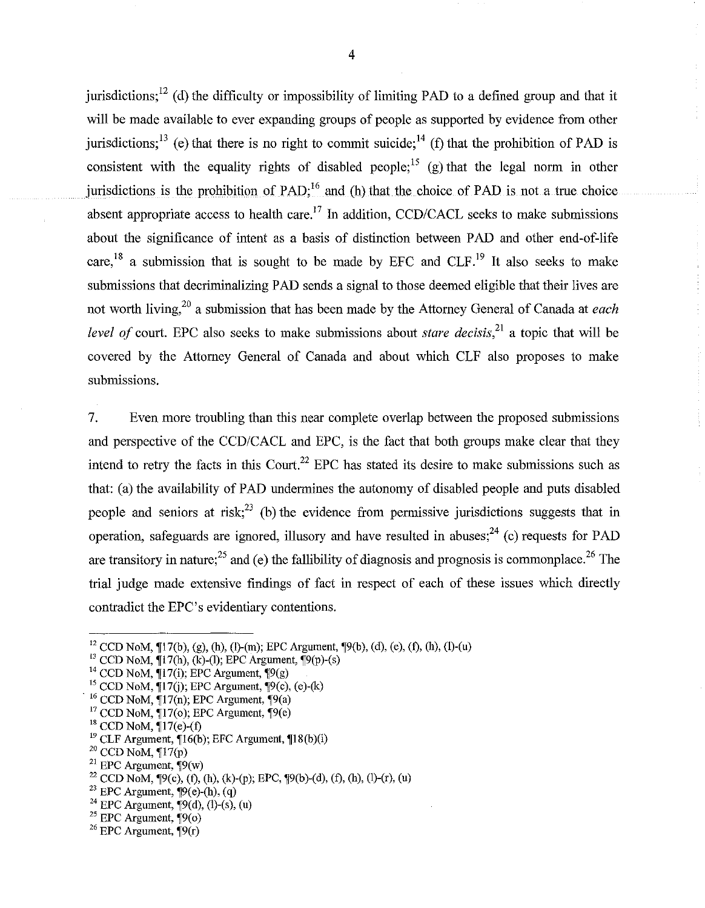jurisdictions;<sup>12</sup> (d) the difficulty or impossibility of limiting PAD to a defined group and that it will be made available to ever expanding groups of people as supported by evidence from other jurisdictions;<sup>13</sup> (e) that there is no right to commit suicide;<sup>14</sup> (f) that the prohibition of PAD is consistent with the equality rights of disabled people;<sup>15</sup> (g) that the legal norm in other jurisdictions is the prohibition of PAD; $^{16}$  and (h) that the choice of PAD is not a true choice absent appropriate access to health care.<sup>17</sup> In addition, *CCD/CACL* seeks to make submissions about the significance of intent as a basis of distinction between PAD and other end-of-life care,<sup>18</sup> a submission that is sought to be made by EFC and  $CLF<sup>19</sup>$  It also seeks to make submissions that decriminalizing PAD sends a signal to those deemed eligible that their lives are not worth living,<sup>20</sup> a submission that has been made by the Attorney General of Canada at *each level of* court. EPC also seeks to make submissions about *stare decisis*<sup>21</sup> a topic that will be covered by the Attorney General of Canada and about which CLF also proposes to make submissions.

7. Even more troubling than this near complete overlap between the proposed submissions and perspective of the *CCD/CACL* and EPC, is the fact that both groups make clear that they intend to retry the facts in this Court.<sup>22</sup> EPC has stated its desire to make submissions such as that: (a) the availability of PAD undermines the autonomy of disabled people and puts disabled people and seniors at risk;<sup>23</sup> (b) the evidence from permissive jurisdictions suggests that in operation, safeguards are ignored, illusory and have resulted in abuses;<sup>24</sup> (c) requests for PAD are transitory in nature;<sup>25</sup> and (e) the fallibility of diagnosis and prognosis is commonplace.<sup>26</sup> The trial judge made extensive findings of fact in respect of each of these issues which directly contradict the EPC's evidentiary contentions.

<sup>24</sup> EPC Argument,  $\P9(d)$ , (l)-(s), (u)

<sup>&</sup>lt;sup>12</sup> CCD NoM,  $\P$ 17(b), (g), (h), (l)-(m); EPC Argument,  $\P$ 9(b), (d), (e), (f), (h), (l)-(u)

<sup>&</sup>lt;sup>13</sup> CCD NoM,  $\P$ 17(h), (k)-(l); EPC Argument,  $\P$ 9(p)-(s)

<sup>&</sup>lt;sup>14</sup> CCD NoM,  $\P$ 17(i); EPC Argument,  $\P$ 9(g)

 $15$  CCD NoM,  $[17(j)]$ ; EPC Argument,  $[9(c)$ , (e)-(k)

 $16$  CCD NoM,  $\P$ 17(n); EPC Argument,  $\P$ 9(a)

 $17$  CCD NoM,  $\P$ 17(o); EPC Argument,  $\P$ 9(e)

 $18$  CCD NoM,  $\P$ 17(e)-(f)

 $19$  CLF Argument,  $[16(b);$  EFC Argument,  $[18(b)(i)]$ 

 $20$  CCD NoM,  $\P$ 17(p)

<sup>&</sup>lt;sup>21</sup> EPC Argument,  $\mathcal{P}(w)$ 

<sup>&</sup>lt;sup>22</sup> CCD NoM,  $\P9(c)$ , (f), (h), (k)-(p); EPC,  $\P9(b)$ -(d), (f), (h), (l)-(r), (u)

 $23$  EPC Argument,  $\P9(e)$ -(h), (q)

 $25$  EPC Argument,  $\sqrt[4]{9(0)}$ 

<sup>&</sup>lt;sup>26</sup> EPC Argument,  $\P9(r)$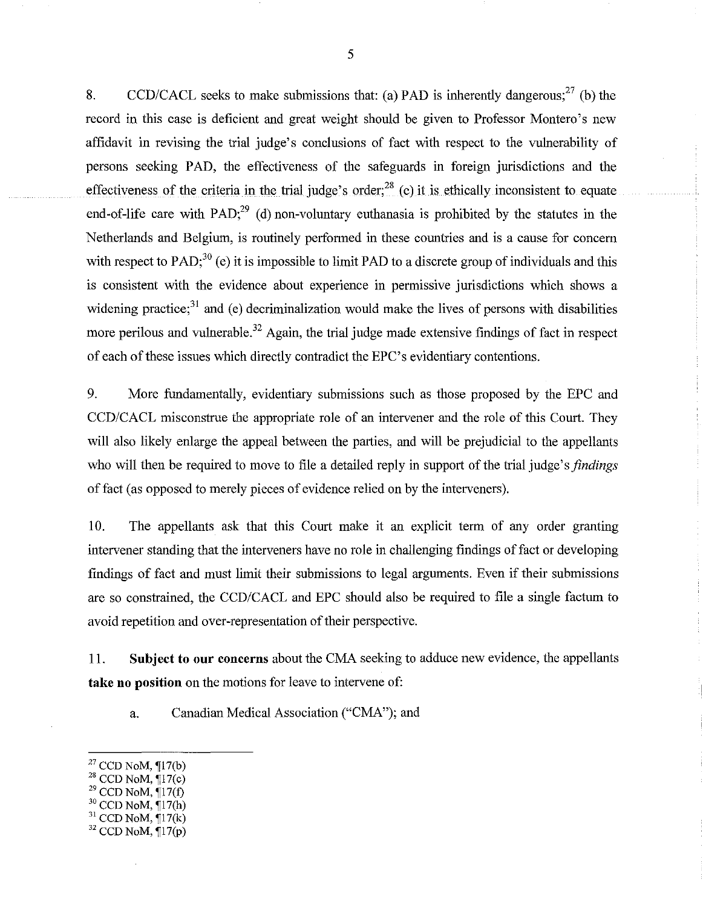8. CCD/CACL seeks to make submissions that: (a) PAD is inherently dangerous;<sup>27</sup> (b) the record in this case is deficient and great weight should be given to Professor Montero's new affidavit in revising the trial judge's conclusions of fact with respect to the vulnerability of persons seeking PAD, the effectiveness of the safeguards in foreign jurisdictions and the effectiveness of the criteria in the trial judge's order;<sup>28</sup> (c) it is ethically inconsistent to equate end-of-life care with PAD; $^{29}$  (d) non-voluntary euthanasia is prohibited by the statutes in the Netherlands and Belgium, is routinely performed in these countries and is a cause for concern with respect to PAD;<sup>30</sup> (e) it is impossible to limit PAD to a discrete group of individuals and this is consistent with the evidence about experience in permissive jurisdictions which shows a widening practice; $31$  and (e) decriminalization would make the lives of persons with disabilities more perilous and vulnerable.<sup>32</sup> Again, the trial judge made extensive findings of fact in respect of each of these issues which directly contradict the EPC's evidentiary contentions.

9. More fundamentally, evidentiary submissions such as those proposed by the EPC and *CCD/CACL* misconstrue the appropriate role of an intervener and the role of this Court. They will also likely enlarge the appeal between the parties, and will be prejudicial to the appellants who will then be required to move to file a detailed reply in support of the trial judge's *findings*  of fact (as opposed to merely pieces of evidence relied on by the interveners).

10. The appellants ask that this Court malce it an explicit term of any order granting intervener standing that the interveners have no role in challenging findings of fact or developing findings of fact and must limit their submissions to legal arguments. Even if their submissions are so constrained, the *CCD/CACL* and EPC should also be required to file a single factum to avoid repetition and over-representation of their perspective.

11. **Subject to our concerns** about the CMA seeking to adduce new evidence, the appellants **take no position** on the motions for leave to intervene of:

a. Canadian Medical Association ("CMA"); and

- $^{29}$  CCD NoM,  $\P$ 17(f)
- $30$  CCD NoM,  $\P{17(h)}$
- $31$  CCD NoM,  $\P$ 17(k)

 $27$  CCD NoM,  $\P$ 17(b)

 $^{28}$  CCD NoM,  $\Pi$ 7(c)

 $32$  CCD NoM,  $\P$ 17(p)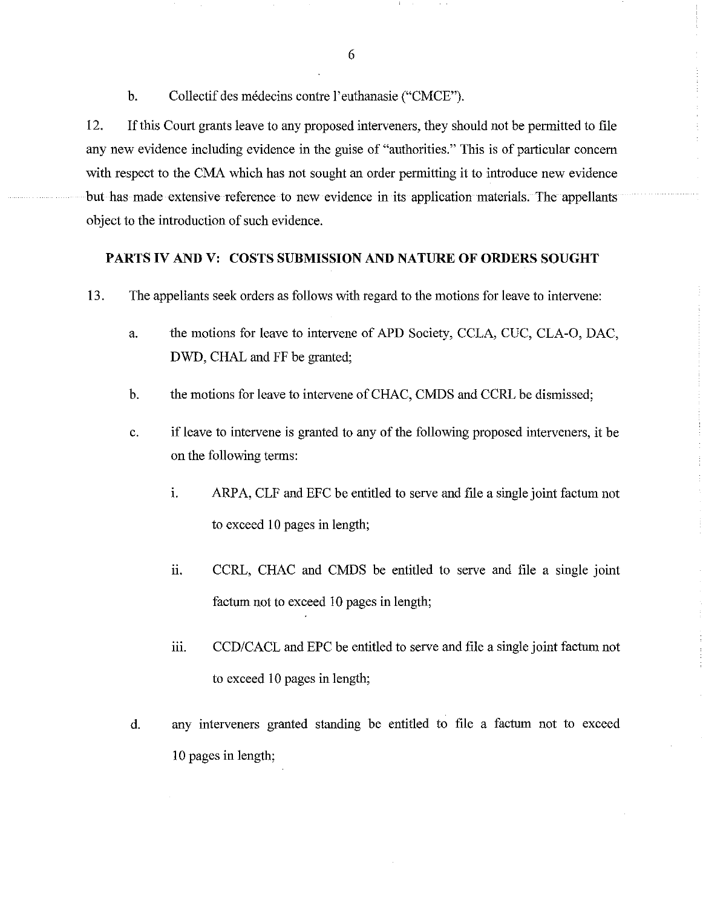b. Collectif des médecins contre l'euthanasie ("CMCE").

12. Ifthis Court grants leave to any proposed interveners, they should not be permitted to file any new evidence including evidence in the guise of "authorities." This is of particular concern with respect to the CMA which has not sought an order permitting it to introduce new evidence but has made extensive reference to new evidence in its application materials. The appellants object to the introduction of such evidence.

### PARTS **IV** AND V: COSTS SUBMISSION AND NATURE **OF ORDERS SOUGHT**

- 13. The appellants seek orders as follows with regard to the motions for leave to intervene:
	- a. the motions for leave to intervene of APD Society, CCLA, CUC, CLA-O, DAC, DWD, CHAL and FF be granted;
	- b. the motions for leave to intervene of CHAC, CMDS and CCRL be dismissed;
	- c. if leave to intervene is granted to any of the following proposed interveners, it be on the following terms:
		- 1. ARPA, CLF and EFC be entitled to serve and file a single joint factum not to exceed 10 pages in length;
		- ii. CCRL, CHAC and CMDS be entitled to serve and file a single joint factum not to exceed 10 pages in length;
		- iii. *CCD/CACL* and EPC be entitled to serve and file a single joint factum not to exceed 10 pages in length;
	- d. any interveners granted standing be entitled to file a factum not to exceed 10 pages in length;